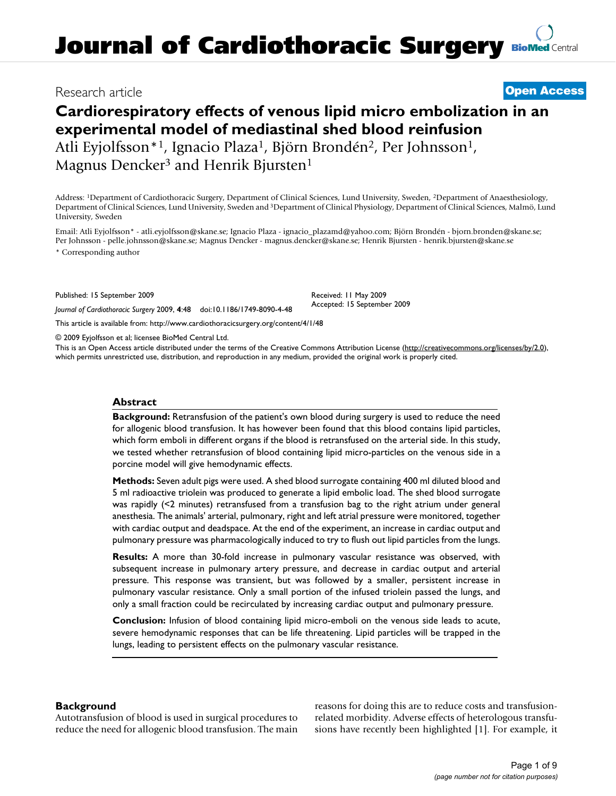# Research article **[Open Access](http://www.biomedcentral.com/info/about/charter/)**

# **Cardiorespiratory effects of venous lipid micro embolization in an experimental model of mediastinal shed blood reinfusion** Atli Eyjolfsson<sup>\*1</sup>, Ignacio Plaza<sup>1</sup>, Björn Brondén<sup>2</sup>, Per Johnsson<sup>1</sup>,

Magnus Dencker<sup>3</sup> and Henrik Bjursten<sup>1</sup>

Address: 1Department of Cardiothoracic Surgery, Department of Clinical Sciences, Lund University, Sweden, 2Department of Anaesthesiology, Department of Clinical Sciences, Lund University, Sweden and 3Department of Clinical Physiology, Department of Clinical Sciences, Malmö, Lund University, Sweden

Email: Atli Eyjolfsson\* - atli.eyjolfsson@skane.se; Ignacio Plaza - ignacio\_plazamd@yahoo.com; Björn Brondén - bjorn.bronden@skane.se; Per Johnsson - pelle.johnsson@skane.se; Magnus Dencker - magnus.dencker@skane.se; Henrik Bjursten - henrik.bjursten@skane.se \* Corresponding author

Published: 15 September 2009

Received: 11 May 2009 Accepted: 15 September 2009

[This article is available from: http://www.cardiothoracicsurgery.org/content/4/1/48](http://www.cardiothoracicsurgery.org/content/4/1/48)

*Journal of Cardiothoracic Surgery* 2009, **4**:48 doi:10.1186/1749-8090-4-48

© 2009 Eyjolfsson et al; licensee BioMed Central Ltd.

This is an Open Access article distributed under the terms of the Creative Commons Attribution License [\(http://creativecommons.org/licenses/by/2.0\)](http://creativecommons.org/licenses/by/2.0), which permits unrestricted use, distribution, and reproduction in any medium, provided the original work is properly cited.

#### **Abstract**

**Background:** Retransfusion of the patient's own blood during surgery is used to reduce the need for allogenic blood transfusion. It has however been found that this blood contains lipid particles, which form emboli in different organs if the blood is retransfused on the arterial side. In this study, we tested whether retransfusion of blood containing lipid micro-particles on the venous side in a porcine model will give hemodynamic effects.

**Methods:** Seven adult pigs were used. A shed blood surrogate containing 400 ml diluted blood and 5 ml radioactive triolein was produced to generate a lipid embolic load. The shed blood surrogate was rapidly (<2 minutes) retransfused from a transfusion bag to the right atrium under general anesthesia. The animals' arterial, pulmonary, right and left atrial pressure were monitored, together with cardiac output and deadspace. At the end of the experiment, an increase in cardiac output and pulmonary pressure was pharmacologically induced to try to flush out lipid particles from the lungs.

**Results:** A more than 30-fold increase in pulmonary vascular resistance was observed, with subsequent increase in pulmonary artery pressure, and decrease in cardiac output and arterial pressure. This response was transient, but was followed by a smaller, persistent increase in pulmonary vascular resistance. Only a small portion of the infused triolein passed the lungs, and only a small fraction could be recirculated by increasing cardiac output and pulmonary pressure.

**Conclusion:** Infusion of blood containing lipid micro-emboli on the venous side leads to acute, severe hemodynamic responses that can be life threatening. Lipid particles will be trapped in the lungs, leading to persistent effects on the pulmonary vascular resistance.

# **Background**

Autotransfusion of blood is used in surgical procedures to reduce the need for allogenic blood transfusion. The main reasons for doing this are to reduce costs and transfusionrelated morbidity. Adverse effects of heterologous transfusions have recently been highlighted [1]. For example, it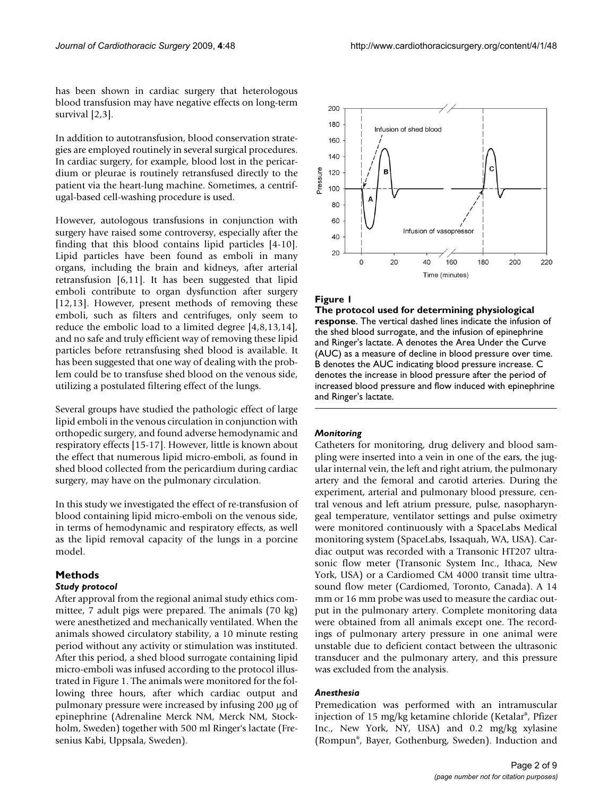has been shown in cardiac surgery that heterologous blood transfusion may have negative effects on long-term survival [2,3].

In addition to autotransfusion, blood conservation strategies are employed routinely in several surgical procedures. In cardiac surgery, for example, blood lost in the pericardium or pleurae is routinely retransfused directly to the patient via the heart-lung machine. Sometimes, a centrifugal-based cell-washing procedure is used.

However, autologous transfusions in conjunction with surgery have raised some controversy, especially after the finding that this blood contains lipid particles [4-10]. Lipid particles have been found as emboli in many organs, including the brain and kidneys, after arterial retransfusion [6,11]. It has been suggested that lipid emboli contribute to organ dysfunction after surgery [12,13]. However, present methods of removing these emboli, such as filters and centrifuges, only seem to reduce the embolic load to a limited degree [4,8,13,14], and no safe and truly efficient way of removing these lipid particles before retransfusing shed blood is available. It has been suggested that one way of dealing with the problem could be to transfuse shed blood on the venous side, utilizing a postulated filtering effect of the lungs.

Several groups have studied the pathologic effect of large lipid emboli in the venous circulation in conjunction with orthopedic surgery, and found adverse hemodynamic and respiratory effects [15-17]. However, little is known about the effect that numerous lipid micro-emboli, as found in shed blood collected from the pericardium during cardiac surgery, may have on the pulmonary circulation.

In this study we investigated the effect of re-transfusion of blood containing lipid micro-emboli on the venous side, in terms of hemodynamic and respiratory effects, as well as the lipid removal capacity of the lungs in a porcine model.

# **Methods**

# *Study protocol*

After approval from the regional animal study ethics committee, 7 adult pigs were prepared. The animals (70 kg) were anesthetized and mechanically ventilated. When the animals showed circulatory stability, a 10 minute resting period without any activity or stimulation was instituted. After this period, a shed blood surrogate containing lipid micro-emboli was infused according to the protocol illustrated in Figure 1. The animals were monitored for the following three hours, after which cardiac output and pulmonary pressure were increased by infusing 200 μg of epinephrine (Adrenaline Merck NM, Merck NM, Stockholm, Sweden) together with 500 ml Ringer's lactate (Fresenius Kabi, Uppsala, Sweden).



#### Figure 1

**The protocol used for determining physiological response**. The vertical dashed lines indicate the infusion of the shed blood surrogate, and the infusion of epinephrine and Ringer's lactate. A denotes the Area Under the Curve (AUC) as a measure of decline in blood pressure over time. B denotes the AUC indicating blood pressure increase. C denotes the increase in blood pressure after the period of increased blood pressure and flow induced with epinephrine and Ringer's lactate.

#### *Monitoring*

Catheters for monitoring, drug delivery and blood sampling were inserted into a vein in one of the ears, the jugular internal vein, the left and right atrium, the pulmonary artery and the femoral and carotid arteries. During the experiment, arterial and pulmonary blood pressure, central venous and left atrium pressure, pulse, nasopharyngeal temperature, ventilator settings and pulse oximetry were monitored continuously with a SpaceLabs Medical monitoring system (SpaceLabs, Issaquah, WA, USA). Cardiac output was recorded with a Transonic HT207 ultrasonic flow meter (Transonic System Inc., Ithaca, New York, USA) or a Cardiomed CM 4000 transit time ultrasound flow meter (Cardiomed, Toronto, Canada). A 14 mm or 16 mm probe was used to measure the cardiac output in the pulmonary artery. Complete monitoring data were obtained from all animals except one. The recordings of pulmonary artery pressure in one animal were unstable due to deficient contact between the ultrasonic transducer and the pulmonary artery, and this pressure was excluded from the analysis.

#### *Anesthesia*

Premedication was performed with an intramuscular injection of 15 mg/kg ketamine chloride (Ketalar®, Pfizer Inc., New York, NY, USA) and 0.2 mg/kg xylasine (Rompun®, Bayer, Gothenburg, Sweden). Induction and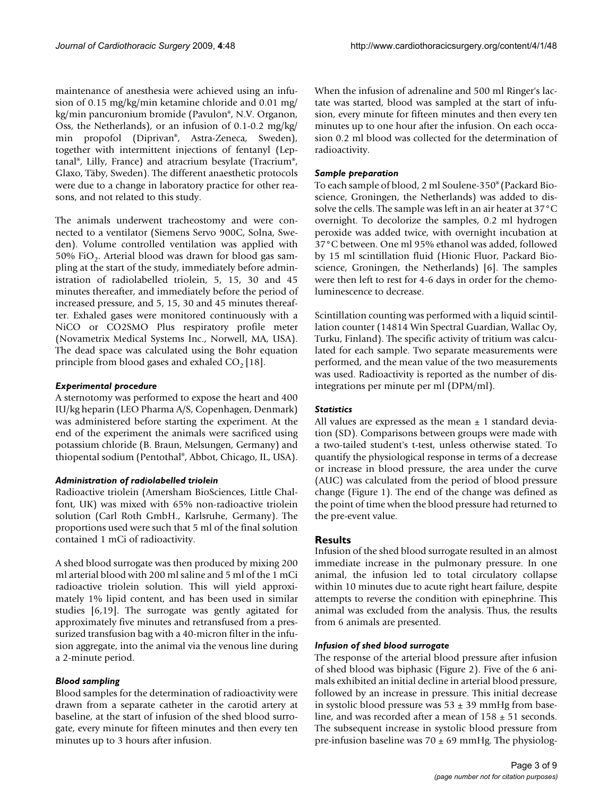maintenance of anesthesia were achieved using an infusion of 0.15 mg/kg/min ketamine chloride and 0.01 mg/ kg/min pancuronium bromide (Pavulon®, N.V. Organon, Oss, the Netherlands), or an infusion of 0.1-0.2 mg/kg/ min propofol (Diprivan®, Astra-Zeneca, Sweden), together with intermittent injections of fentanyl (Leptanal®, Lilly, France) and atracrium besylate (Tracrium®, Glaxo, Täby, Sweden). The different anaesthetic protocols were due to a change in laboratory practice for other reasons, and not related to this study.

The animals underwent tracheostomy and were connected to a ventilator (Siemens Servo 900C, Solna, Sweden). Volume controlled ventilation was applied with 50% FiO<sub>2</sub>. Arterial blood was drawn for blood gas sampling at the start of the study, immediately before administration of radiolabelled triolein, 5, 15, 30 and 45 minutes thereafter, and immediately before the period of increased pressure, and 5, 15, 30 and 45 minutes thereafter. Exhaled gases were monitored continuously with a NiCO or CO2SMO Plus respiratory profile meter (Novametrix Medical Systems Inc., Norwell, MA, USA). The dead space was calculated using the Bohr equation principle from blood gases and exhaled  $CO<sub>2</sub>$  [18].

# *Experimental procedure*

A sternotomy was performed to expose the heart and 400 IU/kg heparin (LEO Pharma A/S, Copenhagen, Denmark) was administered before starting the experiment. At the end of the experiment the animals were sacrificed using potassium chloride (B. Braun, Melsungen, Germany) and thiopental sodium (Pentothal®, Abbot, Chicago, IL, USA).

# *Administration of radiolabelled triolein*

Radioactive triolein (Amersham BioSciences, Little Chalfont, UK) was mixed with 65% non-radioactive triolein solution (Carl Roth GmbH., Karlsruhe, Germany). The proportions used were such that 5 ml of the final solution contained 1 mCi of radioactivity.

A shed blood surrogate was then produced by mixing 200 ml arterial blood with 200 ml saline and 5 ml of the 1 mCi radioactive triolein solution. This will yield approximately 1% lipid content, and has been used in similar studies [6,19]. The surrogate was gently agitated for approximately five minutes and retransfused from a pressurized transfusion bag with a 40-micron filter in the infusion aggregate, into the animal via the venous line during a 2-minute period.

# *Blood sampling*

Blood samples for the determination of radioactivity were drawn from a separate catheter in the carotid artery at baseline, at the start of infusion of the shed blood surrogate, every minute for fifteen minutes and then every ten minutes up to 3 hours after infusion.

When the infusion of adrenaline and 500 ml Ringer's lactate was started, blood was sampled at the start of infusion, every minute for fifteen minutes and then every ten minutes up to one hour after the infusion. On each occasion 0.2 ml blood was collected for the determination of radioactivity.

# *Sample preparation*

To each sample of blood, 2 ml Soulene-350® (Packard Bioscience, Groningen, the Netherlands) was added to dissolve the cells. The sample was left in an air heater at 37°C overnight. To decolorize the samples, 0.2 ml hydrogen peroxide was added twice, with overnight incubation at 37°C between. One ml 95% ethanol was added, followed by 15 ml scintillation fluid (Hionic Fluor, Packard Bioscience, Groningen, the Netherlands) [6]. The samples were then left to rest for 4-6 days in order for the chemoluminescence to decrease.

Scintillation counting was performed with a liquid scintillation counter (14814 Win Spectral Guardian, Wallac Oy, Turku, Finland). The specific activity of tritium was calculated for each sample. Two separate measurements were performed, and the mean value of the two measurements was used. Radioactivity is reported as the number of disintegrations per minute per ml (DPM/ml).

# *Statistics*

All values are expressed as the mean  $\pm$  1 standard deviation (SD). Comparisons between groups were made with a two-tailed student's t-test, unless otherwise stated. To quantify the physiological response in terms of a decrease or increase in blood pressure, the area under the curve (AUC) was calculated from the period of blood pressure change (Figure 1). The end of the change was defined as the point of time when the blood pressure had returned to the pre-event value.

# **Results**

Infusion of the shed blood surrogate resulted in an almost immediate increase in the pulmonary pressure. In one animal, the infusion led to total circulatory collapse within 10 minutes due to acute right heart failure, despite attempts to reverse the condition with epinephrine. This animal was excluded from the analysis. Thus, the results from 6 animals are presented.

# *Infusion of shed blood surrogate*

The response of the arterial blood pressure after infusion of shed blood was biphasic (Figure 2). Five of the 6 animals exhibited an initial decline in arterial blood pressure, followed by an increase in pressure. This initial decrease in systolic blood pressure was  $53 \pm 39$  mmHg from baseline, and was recorded after a mean of  $158 \pm 51$  seconds. The subsequent increase in systolic blood pressure from pre-infusion baseline was  $70 \pm 69$  mmHg. The physiolog-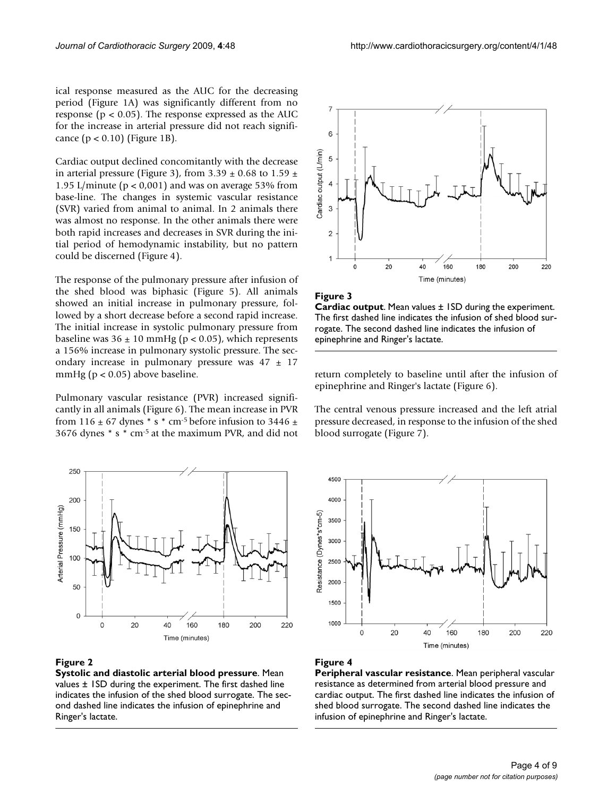ical response measured as the AUC for the decreasing period (Figure 1A) was significantly different from no response ( $p < 0.05$ ). The response expressed as the AUC for the increase in arterial pressure did not reach significance  $(p < 0.10)$  (Figure 1B).

Cardiac output declined concomitantly with the decrease in arterial pressure (Figure 3), from  $3.39 \pm 0.68$  to  $1.59 \pm 1.59$ 1.95 L/minute ( $p < 0.001$ ) and was on average 53% from base-line. The changes in systemic vascular resistance (SVR) varied from animal to animal. In 2 animals there was almost no response. In the other animals there were both rapid increases and decreases in SVR during the initial period of hemodynamic instability, but no pattern could be discerned (Figure 4).

The response of the pulmonary pressure after infusion of the shed blood was biphasic (Figure 5). All animals showed an initial increase in pulmonary pressure, followed by a short decrease before a second rapid increase. The initial increase in systolic pulmonary pressure from baseline was  $36 \pm 10$  mmHg (p < 0.05), which represents a 156% increase in pulmonary systolic pressure. The secondary increase in pulmonary pressure was  $47 \pm 17$ mmHg (p < 0.05) above baseline.

Pulmonary vascular resistance (PVR) increased significantly in all animals (Figure 6). The mean increase in PVR from 116  $\pm$  67 dynes \* s \* cm<sup>-5</sup> before infusion to 3446  $\pm$ 3676 dynes \* s \* cm-5 at the maximum PVR, and did not



#### Figure 2

**Systolic and diastolic arterial blood pressure**. Mean values  $\pm$  ISD during the experiment. The first dashed line indicates the infusion of the shed blood surrogate. The second dashed line indicates the infusion of epinephrine and Ringer's lactate.



#### **Figure 3**

**Cardiac output**. Mean values ± 1SD during the experiment. The first dashed line indicates the infusion of shed blood surrogate. The second dashed line indicates the infusion of epinephrine and Ringer's lactate.

return completely to baseline until after the infusion of epinephrine and Ringer's lactate (Figure 6).

The central venous pressure increased and the left atrial pressure decreased, in response to the infusion of the shed blood surrogate (Figure 7).



#### **Figure 4**

**Peripheral vascular resistance**. Mean peripheral vascular resistance as determined from arterial blood pressure and cardiac output. The first dashed line indicates the infusion of shed blood surrogate. The second dashed line indicates the infusion of epinephrine and Ringer's lactate.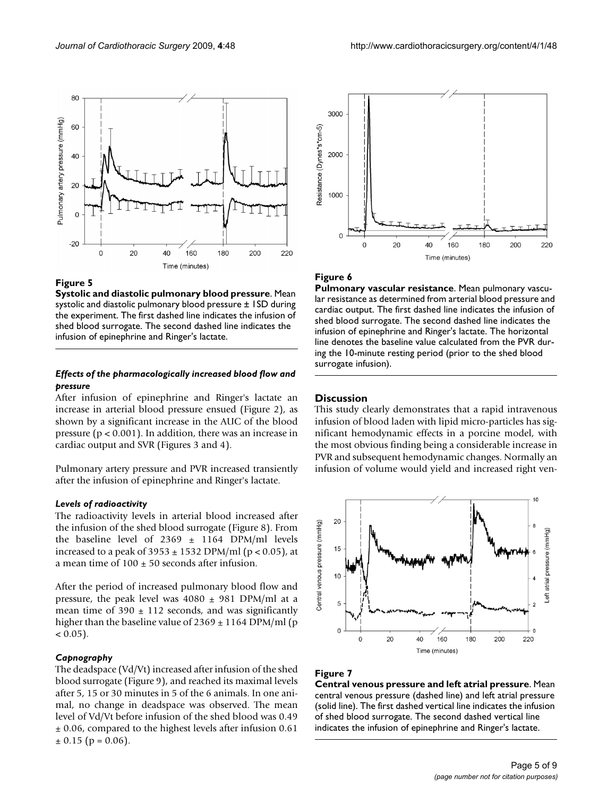

## **Figure 5**

**Systolic and diastolic pulmonary blood pressure**. Mean systolic and diastolic pulmonary blood pressure ± 1SD during the experiment. The first dashed line indicates the infusion of shed blood surrogate. The second dashed line indicates the infusion of epinephrine and Ringer's lactate.

## *Effects of the pharmacologically increased blood flow and pressure*

After infusion of epinephrine and Ringer's lactate an increase in arterial blood pressure ensued (Figure 2), as shown by a significant increase in the AUC of the blood pressure (p < 0.001). In addition, there was an increase in cardiac output and SVR (Figures 3 and 4).

Pulmonary artery pressure and PVR increased transiently after the infusion of epinephrine and Ringer's lactate.

## *Levels of radioactivity*

The radioactivity levels in arterial blood increased after the infusion of the shed blood surrogate (Figure 8). From the baseline level of 2369  $\pm$  1164 DPM/ml levels increased to a peak of  $3953 \pm 1532$  DPM/ml (p < 0.05), at a mean time of  $100 + 50$  seconds after infusion.

After the period of increased pulmonary blood flow and pressure, the peak level was  $4080 \pm 981$  DPM/ml at a mean time of  $390 \pm 112$  seconds, and was significantly higher than the baseline value of  $2369 \pm 1164$  DPM/ml (p  $< 0.05$ ).

#### *Capnography*

The deadspace (Vd/Vt) increased after infusion of the shed blood surrogate (Figure 9), and reached its maximal levels after 5, 15 or 30 minutes in 5 of the 6 animals. In one animal, no change in deadspace was observed. The mean level of Vd/Vt before infusion of the shed blood was 0.49 ± 0.06, compared to the highest levels after infusion 0.61  $\pm$  0.15 (p = 0.06).



#### **Figure 6**

**Pulmonary vascular resistance**. Mean pulmonary vascular resistance as determined from arterial blood pressure and cardiac output. The first dashed line indicates the infusion of shed blood surrogate. The second dashed line indicates the infusion of epinephrine and Ringer's lactate. The horizontal line denotes the baseline value calculated from the PVR during the 10-minute resting period (prior to the shed blood surrogate infusion).

# **Discussion**

This study clearly demonstrates that a rapid intravenous infusion of blood laden with lipid micro-particles has significant hemodynamic effects in a porcine model, with the most obvious finding being a considerable increase in PVR and subsequent hemodynamic changes. Normally an infusion of volume would yield and increased right ven-



#### Figure 7

**Central venous pressure and left atrial pressure**. Mean central venous pressure (dashed line) and left atrial pressure (solid line). The first dashed vertical line indicates the infusion of shed blood surrogate. The second dashed vertical line indicates the infusion of epinephrine and Ringer's lactate.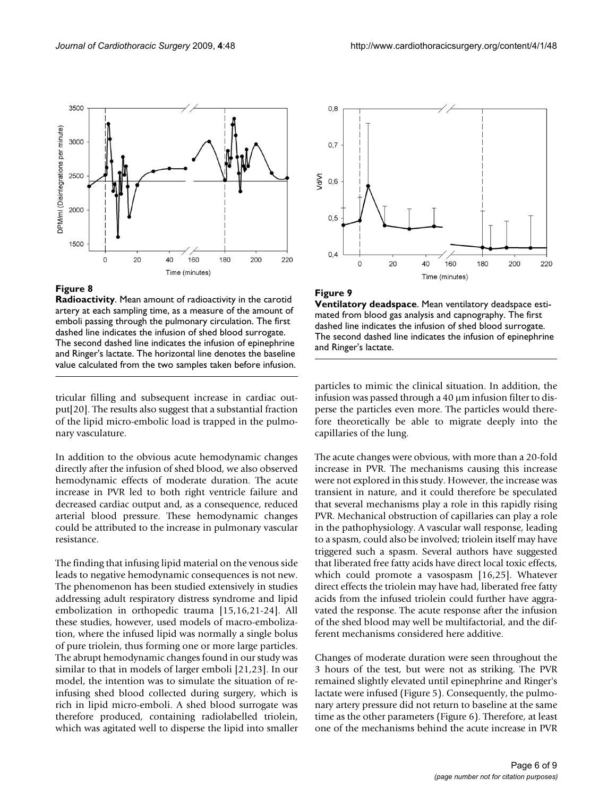

# **Figure 8**

**Radioactivity**. Mean amount of radioactivity in the carotid artery at each sampling time, as a measure of the amount of emboli passing through the pulmonary circulation. The first dashed line indicates the infusion of shed blood surrogate. The second dashed line indicates the infusion of epinephrine and Ringer's lactate. The horizontal line denotes the baseline value calculated from the two samples taken before infusion.

tricular filling and subsequent increase in cardiac output[20]. The results also suggest that a substantial fraction of the lipid micro-embolic load is trapped in the pulmonary vasculature.

In addition to the obvious acute hemodynamic changes directly after the infusion of shed blood, we also observed hemodynamic effects of moderate duration. The acute increase in PVR led to both right ventricle failure and decreased cardiac output and, as a consequence, reduced arterial blood pressure. These hemodynamic changes could be attributed to the increase in pulmonary vascular resistance.

The finding that infusing lipid material on the venous side leads to negative hemodynamic consequences is not new. The phenomenon has been studied extensively in studies addressing adult respiratory distress syndrome and lipid embolization in orthopedic trauma [15,16,21-24]. All these studies, however, used models of macro-embolization, where the infused lipid was normally a single bolus of pure triolein, thus forming one or more large particles. The abrupt hemodynamic changes found in our study was similar to that in models of larger emboli [21,23]. In our model, the intention was to simulate the situation of reinfusing shed blood collected during surgery, which is rich in lipid micro-emboli. A shed blood surrogate was therefore produced, containing radiolabelled triolein, which was agitated well to disperse the lipid into smaller





**Ventilatory deadspace**. Mean ventilatory deadspace estimated from blood gas analysis and capnography. The first dashed line indicates the infusion of shed blood surrogate. The second dashed line indicates the infusion of epinephrine and Ringer's lactate.

particles to mimic the clinical situation. In addition, the infusion was passed through a 40 μm infusion filter to disperse the particles even more. The particles would therefore theoretically be able to migrate deeply into the capillaries of the lung.

The acute changes were obvious, with more than a 20-fold increase in PVR. The mechanisms causing this increase were not explored in this study. However, the increase was transient in nature, and it could therefore be speculated that several mechanisms play a role in this rapidly rising PVR. Mechanical obstruction of capillaries can play a role in the pathophysiology. A vascular wall response, leading to a spasm, could also be involved; triolein itself may have triggered such a spasm. Several authors have suggested that liberated free fatty acids have direct local toxic effects, which could promote a vasospasm [16,25]. Whatever direct effects the triolein may have had, liberated free fatty acids from the infused triolein could further have aggravated the response. The acute response after the infusion of the shed blood may well be multifactorial, and the different mechanisms considered here additive.

Changes of moderate duration were seen throughout the 3 hours of the test, but were not as striking. The PVR remained slightly elevated until epinephrine and Ringer's lactate were infused (Figure 5). Consequently, the pulmonary artery pressure did not return to baseline at the same time as the other parameters (Figure 6). Therefore, at least one of the mechanisms behind the acute increase in PVR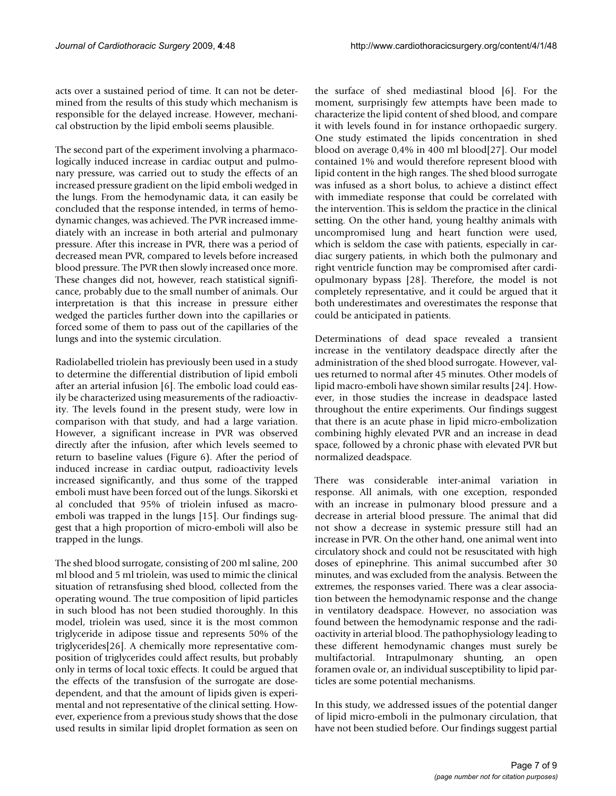acts over a sustained period of time. It can not be determined from the results of this study which mechanism is responsible for the delayed increase. However, mechanical obstruction by the lipid emboli seems plausible.

The second part of the experiment involving a pharmacologically induced increase in cardiac output and pulmonary pressure, was carried out to study the effects of an increased pressure gradient on the lipid emboli wedged in the lungs. From the hemodynamic data, it can easily be concluded that the response intended, in terms of hemodynamic changes, was achieved. The PVR increased immediately with an increase in both arterial and pulmonary pressure. After this increase in PVR, there was a period of decreased mean PVR, compared to levels before increased blood pressure. The PVR then slowly increased once more. These changes did not, however, reach statistical significance, probably due to the small number of animals. Our interpretation is that this increase in pressure either wedged the particles further down into the capillaries or forced some of them to pass out of the capillaries of the lungs and into the systemic circulation.

Radiolabelled triolein has previously been used in a study to determine the differential distribution of lipid emboli after an arterial infusion [6]. The embolic load could easily be characterized using measurements of the radioactivity. The levels found in the present study, were low in comparison with that study, and had a large variation. However, a significant increase in PVR was observed directly after the infusion, after which levels seemed to return to baseline values (Figure 6). After the period of induced increase in cardiac output, radioactivity levels increased significantly, and thus some of the trapped emboli must have been forced out of the lungs. Sikorski et al concluded that 95% of triolein infused as macroemboli was trapped in the lungs [15]. Our findings suggest that a high proportion of micro-emboli will also be trapped in the lungs.

The shed blood surrogate, consisting of 200 ml saline, 200 ml blood and 5 ml triolein, was used to mimic the clinical situation of retransfusing shed blood, collected from the operating wound. The true composition of lipid particles in such blood has not been studied thoroughly. In this model, triolein was used, since it is the most common triglyceride in adipose tissue and represents 50% of the triglycerides[26]. A chemically more representative composition of triglycerides could affect results, but probably only in terms of local toxic effects. It could be argued that the effects of the transfusion of the surrogate are dosedependent, and that the amount of lipids given is experimental and not representative of the clinical setting. However, experience from a previous study shows that the dose used results in similar lipid droplet formation as seen on the surface of shed mediastinal blood [6]. For the moment, surprisingly few attempts have been made to characterize the lipid content of shed blood, and compare it with levels found in for instance orthopaedic surgery. One study estimated the lipids concentration in shed blood on average 0,4% in 400 ml blood[27]. Our model contained 1% and would therefore represent blood with lipid content in the high ranges. The shed blood surrogate was infused as a short bolus, to achieve a distinct effect with immediate response that could be correlated with the intervention. This is seldom the practice in the clinical setting. On the other hand, young healthy animals with uncompromised lung and heart function were used, which is seldom the case with patients, especially in cardiac surgery patients, in which both the pulmonary and right ventricle function may be compromised after cardiopulmonary bypass [28]. Therefore, the model is not completely representative, and it could be argued that it both underestimates and overestimates the response that could be anticipated in patients.

Determinations of dead space revealed a transient increase in the ventilatory deadspace directly after the administration of the shed blood surrogate. However, values returned to normal after 45 minutes. Other models of lipid macro-emboli have shown similar results [24]. However, in those studies the increase in deadspace lasted throughout the entire experiments. Our findings suggest that there is an acute phase in lipid micro-embolization combining highly elevated PVR and an increase in dead space, followed by a chronic phase with elevated PVR but normalized deadspace.

There was considerable inter-animal variation in response. All animals, with one exception, responded with an increase in pulmonary blood pressure and a decrease in arterial blood pressure. The animal that did not show a decrease in systemic pressure still had an increase in PVR. On the other hand, one animal went into circulatory shock and could not be resuscitated with high doses of epinephrine. This animal succumbed after 30 minutes, and was excluded from the analysis. Between the extremes, the responses varied. There was a clear association between the hemodynamic response and the change in ventilatory deadspace. However, no association was found between the hemodynamic response and the radioactivity in arterial blood. The pathophysiology leading to these different hemodynamic changes must surely be multifactorial. Intrapulmonary shunting, an open foramen ovale or, an individual susceptibility to lipid particles are some potential mechanisms.

In this study, we addressed issues of the potential danger of lipid micro-emboli in the pulmonary circulation, that have not been studied before. Our findings suggest partial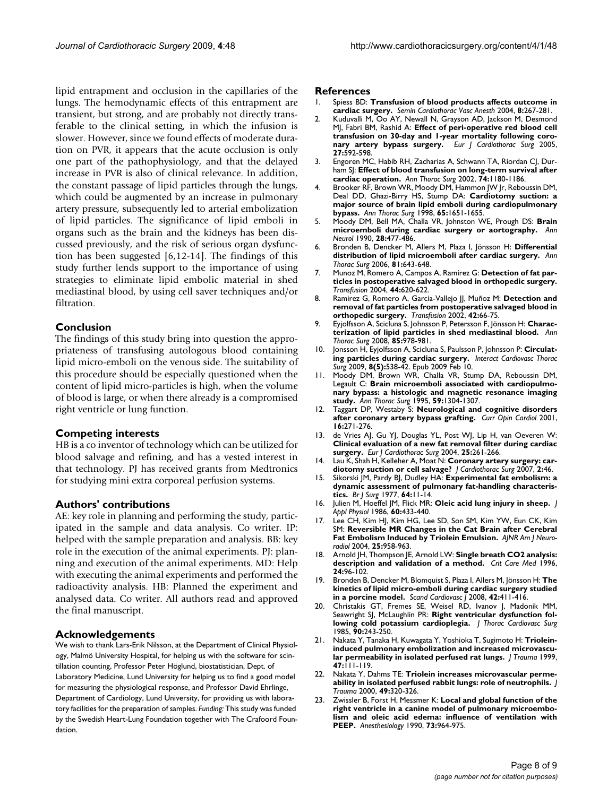lipid entrapment and occlusion in the capillaries of the lungs. The hemodynamic effects of this entrapment are transient, but strong, and are probably not directly transferable to the clinical setting, in which the infusion is slower. However, since we found effects of moderate duration on PVR, it appears that the acute occlusion is only one part of the pathophysiology, and that the delayed increase in PVR is also of clinical relevance. In addition, the constant passage of lipid particles through the lungs, which could be augmented by an increase in pulmonary artery pressure, subsequently led to arterial embolization of lipid particles. The significance of lipid emboli in organs such as the brain and the kidneys has been discussed previously, and the risk of serious organ dysfunction has been suggested [6,12-14]. The findings of this study further lends support to the importance of using strategies to eliminate lipid embolic material in shed mediastinal blood, by using cell saver techniques and/or filtration.

## **Conclusion**

The findings of this study bring into question the appropriateness of transfusing autologous blood containing lipid micro-emboli on the venous side. The suitability of this procedure should be especially questioned when the content of lipid micro-particles is high, when the volume of blood is large, or when there already is a compromised right ventricle or lung function.

# **Competing interests**

HB is a co inventor of technology which can be utilized for blood salvage and refining, and has a vested interest in that technology. PJ has received grants from Medtronics for studying mini extra corporeal perfusion systems.

# **Authors' contributions**

AE: key role in planning and performing the study, participated in the sample and data analysis. Co writer. IP: helped with the sample preparation and analysis. BB: key role in the execution of the animal experiments. PJ: planning and execution of the animal experiments. MD: Help with executing the animal experiments and performed the radioactivity analysis. HB: Planned the experiment and analysed data. Co writer. All authors read and approved the final manuscript.

#### **Acknowledgements**

We wish to thank Lars-Erik Nilsson, at the Department of Clinical Physiology, Malmö University Hospital, for helping us with the software for scintillation counting, Professor Peter Höglund, biostatistician, Dept. of Laboratory Medicine, Lund University for helping us to find a good model for measuring the physiological response, and Professor David Ehrlinge, Department of Cardiology, Lund University, for providing us with laboratory facilities for the preparation of samples. *Funding:* This study was funded by the Swedish Heart-Lung Foundation together with The Crafoord Foundation.

#### **References**

- 1. Spiess BD: **[Transfusion of blood products affects outcome in](http://www.ncbi.nlm.nih.gov/entrez/query.fcgi?cmd=Retrieve&db=PubMed&dopt=Abstract&list_uids=15583789) [cardiac surgery.](http://www.ncbi.nlm.nih.gov/entrez/query.fcgi?cmd=Retrieve&db=PubMed&dopt=Abstract&list_uids=15583789)** *Semin Cardiothorac Vasc Anesth* 2004, **8:**267-281.
- 2. Kuduvalli M, Oo AY, Newall N, Grayson AD, Jackson M, Desmond MJ, Fabri BM, Rashid A: **[Effect of peri-operative red blood cell](http://www.ncbi.nlm.nih.gov/entrez/query.fcgi?cmd=Retrieve&db=PubMed&dopt=Abstract&list_uids=15784356) [transfusion on 30-day and 1-year mortality following coro](http://www.ncbi.nlm.nih.gov/entrez/query.fcgi?cmd=Retrieve&db=PubMed&dopt=Abstract&list_uids=15784356)[nary artery bypass surgery.](http://www.ncbi.nlm.nih.gov/entrez/query.fcgi?cmd=Retrieve&db=PubMed&dopt=Abstract&list_uids=15784356)** *Eur J Cardiothorac Surg* 2005, **27:**592-598.
- 3. Engoren MC, Habib RH, Zacharias A, Schwann TA, Riordan CJ, Durham SJ: **[Effect of blood transfusion on long-term survival after](http://www.ncbi.nlm.nih.gov/entrez/query.fcgi?cmd=Retrieve&db=PubMed&dopt=Abstract&list_uids=12400765) [cardiac operation.](http://www.ncbi.nlm.nih.gov/entrez/query.fcgi?cmd=Retrieve&db=PubMed&dopt=Abstract&list_uids=12400765)** *Ann Thorac Surg* 2002, **74:**1180-1186.
- 4. Brooker RF, Brown WR, Moody DM, Hammon JW Jr, Reboussin DM, Deal DD, Ghazi-Birry HS, Stump DA: **[Cardiotomy suction: a](http://www.ncbi.nlm.nih.gov/entrez/query.fcgi?cmd=Retrieve&db=PubMed&dopt=Abstract&list_uids=9647075) [major source of brain lipid emboli during cardiopulmonary](http://www.ncbi.nlm.nih.gov/entrez/query.fcgi?cmd=Retrieve&db=PubMed&dopt=Abstract&list_uids=9647075) [bypass.](http://www.ncbi.nlm.nih.gov/entrez/query.fcgi?cmd=Retrieve&db=PubMed&dopt=Abstract&list_uids=9647075)** *Ann Thorac Surg* 1998, **65:**1651-1655.
- 5. Moody DM, Bell MA, Challa VR, Johnston WE, Prough DS: **[Brain](http://www.ncbi.nlm.nih.gov/entrez/query.fcgi?cmd=Retrieve&db=PubMed&dopt=Abstract&list_uids=2252360) [microemboli during cardiac surgery or aortography.](http://www.ncbi.nlm.nih.gov/entrez/query.fcgi?cmd=Retrieve&db=PubMed&dopt=Abstract&list_uids=2252360)** *Ann Neurol* 1990, **28:**477-486.
- 6. Bronden B, Dencker M, Allers M, Plaza I, Jönsson H: **[Differential](http://www.ncbi.nlm.nih.gov/entrez/query.fcgi?cmd=Retrieve&db=PubMed&dopt=Abstract&list_uids=16427867) [distribution of lipid microemboli after cardiac surgery.](http://www.ncbi.nlm.nih.gov/entrez/query.fcgi?cmd=Retrieve&db=PubMed&dopt=Abstract&list_uids=16427867)** *Ann Thorac Surg* 2006, **81:**643-648.
- 7. Munoz M, Romero A, Campos A, Ramírez G: **[Detection of fat par](http://www.ncbi.nlm.nih.gov/entrez/query.fcgi?cmd=Retrieve&db=PubMed&dopt=Abstract&list_uids=15043583)[ticles in postoperative salvaged blood in orthopedic surgery.](http://www.ncbi.nlm.nih.gov/entrez/query.fcgi?cmd=Retrieve&db=PubMed&dopt=Abstract&list_uids=15043583)** *Transfusion* 2004, **44:**620-622.
- 8. Ramirez G, Romero A, Garcia-Vallejo JJ, Muñoz M: **[Detection and](http://www.ncbi.nlm.nih.gov/entrez/query.fcgi?cmd=Retrieve&db=PubMed&dopt=Abstract&list_uids=11896315) [removal of fat particles from postoperative salvaged blood in](http://www.ncbi.nlm.nih.gov/entrez/query.fcgi?cmd=Retrieve&db=PubMed&dopt=Abstract&list_uids=11896315) [orthopedic surgery.](http://www.ncbi.nlm.nih.gov/entrez/query.fcgi?cmd=Retrieve&db=PubMed&dopt=Abstract&list_uids=11896315)** *Transfusion* 2002, **42:**66-75.
- 9. Eyjolfsson A, Scicluna S, Johnsson P, Petersson F, Jönsson H: **[Charac](http://www.ncbi.nlm.nih.gov/entrez/query.fcgi?cmd=Retrieve&db=PubMed&dopt=Abstract&list_uids=18291182)[terization of lipid particles in shed mediastinal blood.](http://www.ncbi.nlm.nih.gov/entrez/query.fcgi?cmd=Retrieve&db=PubMed&dopt=Abstract&list_uids=18291182)** *Ann Thorac Surg* 2008, **85:**978-981.
- 10. Jonsson H, Eyjolfsson A, Scicluna S, Paulsson P, Johnsson P: **[Circulat](http://www.ncbi.nlm.nih.gov/entrez/query.fcgi?cmd=Retrieve&db=PubMed&dopt=Abstract&list_uids=19208660)[ing particles during cardiac surgery.](http://www.ncbi.nlm.nih.gov/entrez/query.fcgi?cmd=Retrieve&db=PubMed&dopt=Abstract&list_uids=19208660)** *Interact Cardiovasc Thorac Surg* 2009, **8(5):**538-42. Epub 2009 Feb 10.
- 11. Moody DM, Brown WR, Challa VR, Stump DA, Reboussin DM, Legault C: **[Brain microemboli associated with cardiopulmo](http://www.ncbi.nlm.nih.gov/entrez/query.fcgi?cmd=Retrieve&db=PubMed&dopt=Abstract&list_uids=7733757)[nary bypass: a histologic and magnetic resonance imaging](http://www.ncbi.nlm.nih.gov/entrez/query.fcgi?cmd=Retrieve&db=PubMed&dopt=Abstract&list_uids=7733757) [study.](http://www.ncbi.nlm.nih.gov/entrez/query.fcgi?cmd=Retrieve&db=PubMed&dopt=Abstract&list_uids=7733757)** *Ann Thorac Surg* 1995, **59:**1304-1307.
- 12. Taggart DP, Westaby S: **[Neurological and cognitive disorders](http://www.ncbi.nlm.nih.gov/entrez/query.fcgi?cmd=Retrieve&db=PubMed&dopt=Abstract&list_uids=11584164) [after coronary artery bypass grafting.](http://www.ncbi.nlm.nih.gov/entrez/query.fcgi?cmd=Retrieve&db=PubMed&dopt=Abstract&list_uids=11584164)** *Curr Opin Cardiol* 2001, **16:**271-276.
- 13. de Vries AJ, Gu YJ, Douglas YL, Post WJ, Lip H, van Oeveren W: **[Clinical evaluation of a new fat removal filter during cardiac](http://www.ncbi.nlm.nih.gov/entrez/query.fcgi?cmd=Retrieve&db=PubMed&dopt=Abstract&list_uids=14747124) [surgery.](http://www.ncbi.nlm.nih.gov/entrez/query.fcgi?cmd=Retrieve&db=PubMed&dopt=Abstract&list_uids=14747124)** *Eur J Cardiothorac Surg* 2004, **25:**261-266.
- 14. Lau K, Shah H, Kelleher A, Moat N: **[Coronary artery surgery: car](http://www.ncbi.nlm.nih.gov/entrez/query.fcgi?cmd=Retrieve&db=PubMed&dopt=Abstract&list_uids=17961227)[diotomy suction or cell salvage?](http://www.ncbi.nlm.nih.gov/entrez/query.fcgi?cmd=Retrieve&db=PubMed&dopt=Abstract&list_uids=17961227)** *J Cardiothorac Surg* 2007, **2:**46.
- 15. Sikorski JM, Pardy BJ, Dudley HA: **[Experimental fat embolism: a](http://www.ncbi.nlm.nih.gov/entrez/query.fcgi?cmd=Retrieve&db=PubMed&dopt=Abstract&list_uids=831949) [dynamic assessment of pulmonary fat-handling characteris](http://www.ncbi.nlm.nih.gov/entrez/query.fcgi?cmd=Retrieve&db=PubMed&dopt=Abstract&list_uids=831949)[tics.](http://www.ncbi.nlm.nih.gov/entrez/query.fcgi?cmd=Retrieve&db=PubMed&dopt=Abstract&list_uids=831949)** *Br J Surg* 1977, **64:**11-14.
- 16. Julien M, Hoeffel JM, Flick MR: **[Oleic acid lung injury in sheep.](http://www.ncbi.nlm.nih.gov/entrez/query.fcgi?cmd=Retrieve&db=PubMed&dopt=Abstract&list_uids=3949648)** *J Appl Physiol* 1986, **60:**433-440.
- 17. Lee CH, Kim HJ, Kim HG, Lee SD, Son SM, Kim YW, Eun CK, Kim SM: **[Reversible MR Changes in the Cat Brain after Cerebral](http://www.ncbi.nlm.nih.gov/entrez/query.fcgi?cmd=Retrieve&db=PubMed&dopt=Abstract&list_uids=15205130) [Fat Embolism Induced by Triolein Emulsion.](http://www.ncbi.nlm.nih.gov/entrez/query.fcgi?cmd=Retrieve&db=PubMed&dopt=Abstract&list_uids=15205130)** *AJNR Am J Neuroradiol* 2004, **25:**958-963.
- 18. Arnold JH, Thompson JE, Arnold LW: **[Single breath CO2 analysis:](http://www.ncbi.nlm.nih.gov/entrez/query.fcgi?cmd=Retrieve&db=PubMed&dopt=Abstract&list_uids=8565546) [description and validation of a method.](http://www.ncbi.nlm.nih.gov/entrez/query.fcgi?cmd=Retrieve&db=PubMed&dopt=Abstract&list_uids=8565546)** *Crit Care Med* 1996, **24:**96-102.
- 19. Bronden B, Dencker M, Blomquist S, Plaza I, Allers M, Jönsson H: **[The](http://www.ncbi.nlm.nih.gov/entrez/query.fcgi?cmd=Retrieve&db=PubMed&dopt=Abstract&list_uids=18609040) [kinetics of lipid micro-emboli during cardiac surgery studied](http://www.ncbi.nlm.nih.gov/entrez/query.fcgi?cmd=Retrieve&db=PubMed&dopt=Abstract&list_uids=18609040) [in a porcine model.](http://www.ncbi.nlm.nih.gov/entrez/query.fcgi?cmd=Retrieve&db=PubMed&dopt=Abstract&list_uids=18609040)** *Scand Cardiovasc J* 2008, **42:**411-416.
- 20. Christakis GT, Fremes SE, Weisel RD, Ivanov J, Madonik MM, Seawright SJ, McLaughlin PR: **[Right ventricular dysfunction fol](http://www.ncbi.nlm.nih.gov/entrez/query.fcgi?cmd=Retrieve&db=PubMed&dopt=Abstract&list_uids=3875003)[lowing cold potassium cardioplegia.](http://www.ncbi.nlm.nih.gov/entrez/query.fcgi?cmd=Retrieve&db=PubMed&dopt=Abstract&list_uids=3875003)** *J Thorac Cardiovasc Surg* 1985, **90:**243-250.
- 21. Nakata Y, Tanaka H, Kuwagata Y, Yoshioka T, Sugimoto H: **[Triolein](http://www.ncbi.nlm.nih.gov/entrez/query.fcgi?cmd=Retrieve&db=PubMed&dopt=Abstract&list_uids=10421196)[induced pulmonary embolization and increased microvascu](http://www.ncbi.nlm.nih.gov/entrez/query.fcgi?cmd=Retrieve&db=PubMed&dopt=Abstract&list_uids=10421196)[lar permeability in isolated perfused rat lungs.](http://www.ncbi.nlm.nih.gov/entrez/query.fcgi?cmd=Retrieve&db=PubMed&dopt=Abstract&list_uids=10421196)** *J Trauma* 1999, **47:**111-119.
- 22. Nakata Y, Dahms TE: **[Triolein increases microvascular perme](http://www.ncbi.nlm.nih.gov/entrez/query.fcgi?cmd=Retrieve&db=PubMed&dopt=Abstract&list_uids=10963546)[ability in isolated perfused rabbit lungs: role of neutrophils.](http://www.ncbi.nlm.nih.gov/entrez/query.fcgi?cmd=Retrieve&db=PubMed&dopt=Abstract&list_uids=10963546)** *J Trauma* 2000, **49:**320-326.
- Zwissler B, Forst H, Messmer K: [Local and global function of the](http://www.ncbi.nlm.nih.gov/entrez/query.fcgi?cmd=Retrieve&db=PubMed&dopt=Abstract&list_uids=2240686) **[right ventricle in a canine model of pulmonary microembo](http://www.ncbi.nlm.nih.gov/entrez/query.fcgi?cmd=Retrieve&db=PubMed&dopt=Abstract&list_uids=2240686)lism and oleic acid edema: influence of ventilation with [PEEP.](http://www.ncbi.nlm.nih.gov/entrez/query.fcgi?cmd=Retrieve&db=PubMed&dopt=Abstract&list_uids=2240686)** *Anesthesiology* 1990, **73:**964-975.